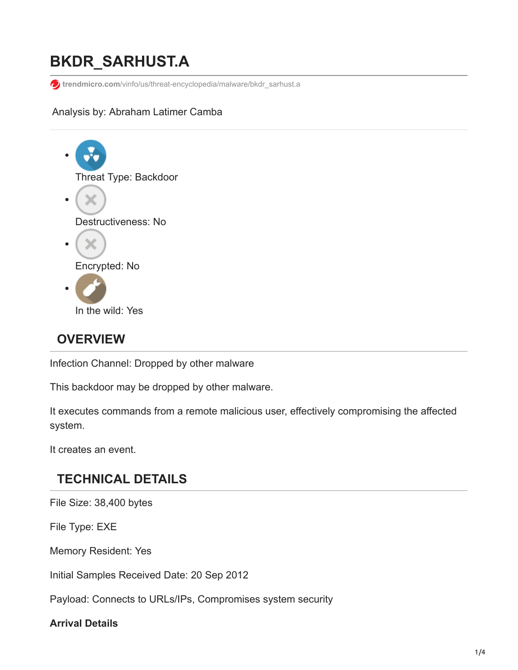# **BKDR\_SARHUST.A**

**t**rendmicro.com[/vinfo/us/threat-encyclopedia/malware/bkdr\\_sarhust.a](https://www.trendmicro.com/vinfo/us/threat-encyclopedia/malware/bkdr_sarhust.a)

#### Analysis by: Abraham Latimer Camba



# **OVERVIEW**

Infection Channel: Dropped by other malware

This backdoor may be dropped by other malware.

It executes commands from a remote malicious user, effectively compromising the affected system.

It creates an event.

# **TECHNICAL DETAILS**

File Size: 38,400 bytes

File Type: EXE

Memory Resident: Yes

Initial Samples Received Date: 20 Sep 2012

Payload: Connects to URLs/IPs, Compromises system security

#### **Arrival Details**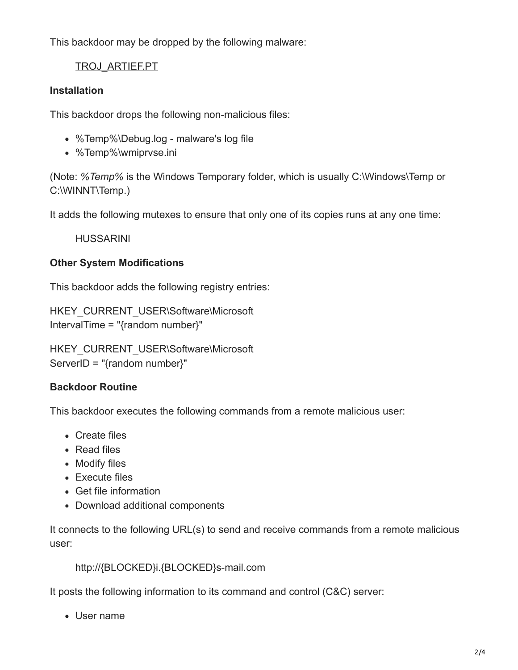This backdoor may be dropped by the following malware:

### [TROJ\\_ARTIEF.PT](https://www.trendmicro.com/vinfo/us/threat-encyclopedia/malware/troj_artief.pt)

#### **Installation**

This backdoor drops the following non-malicious files:

- %Temp%\Debug.log malware's log file
- %Temp%\wmiprvse.ini

(Note: *%Temp%* is the Windows Temporary folder, which is usually C:\Windows\Temp or C:\WINNT\Temp.)

It adds the following mutexes to ensure that only one of its copies runs at any one time:

HUSSARINI

#### **Other System Modifications**

This backdoor adds the following registry entries:

HKEY\_CURRENT\_USER\Software\Microsoft IntervalTime = "{random number}"

HKEY\_CURRENT\_USER\Software\Microsoft ServerID = "{random number}"

#### **Backdoor Routine**

This backdoor executes the following commands from a remote malicious user:

- Create files
- Read files
- Modify files
- Execute files
- Get file information
- Download additional components

It connects to the following URL(s) to send and receive commands from a remote malicious user:

http://{BLOCKED}i.{BLOCKED}s-mail.com

It posts the following information to its command and control (C&C) server:

User name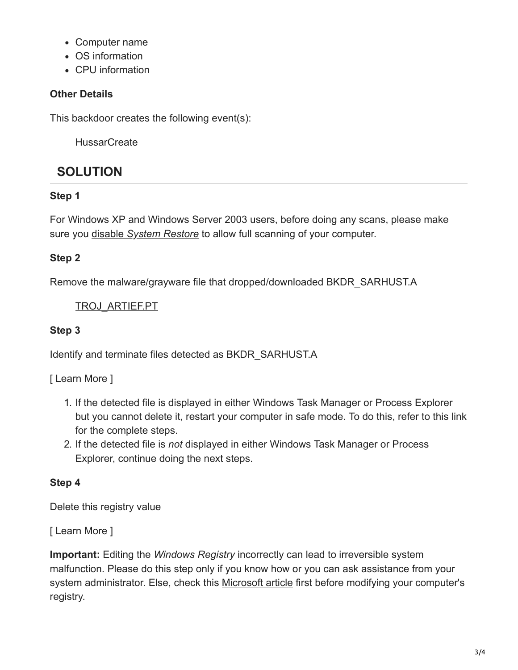- Computer name
- OS information
- CPU information

#### **Other Details**

This backdoor creates the following event(s):

**HussarCreate** 

# **SOLUTION**

### **Step 1**

For Windows XP and Windows Server 2003 users, before doing any scans, please make sure you disable *[System Restore](https://www.trendmicro.com/vinfo/us/security/definition/system-restore)* to allow full scanning of your computer.

### **Step 2**

Remove the malware/grayware file that dropped/downloaded BKDR\_SARHUST.A

[TROJ\\_ARTIEF.PT](https://www.trendmicro.com/vinfo/us/threat-encyclopedia/malware/troj_artief.pt)

### **Step 3**

Identify and terminate files detected as BKDR\_SARHUST.A

[ Learn More ]

- 1. If the detected file is displayed in either Windows Task Manager or Process Explorer but you cannot delete it, restart your computer in safe mode. To do this, refer to this [link](https://www.trendmicro.com/vinfo/us/security/definition/safe-mode) for the complete steps.
- 2. If the detected file is *not* displayed in either Windows Task Manager or Process Explorer, continue doing the next steps.

# **Step 4**

Delete this registry value

[ Learn More ]

**Important:** Editing the *Windows Registry* incorrectly can lead to irreversible system malfunction. Please do this step only if you know how or you can ask assistance from your system administrator. Else, check this [Microsoft article](http://support.microsoft.com/kb/256986/EN-US/) first before modifying your computer's registry.